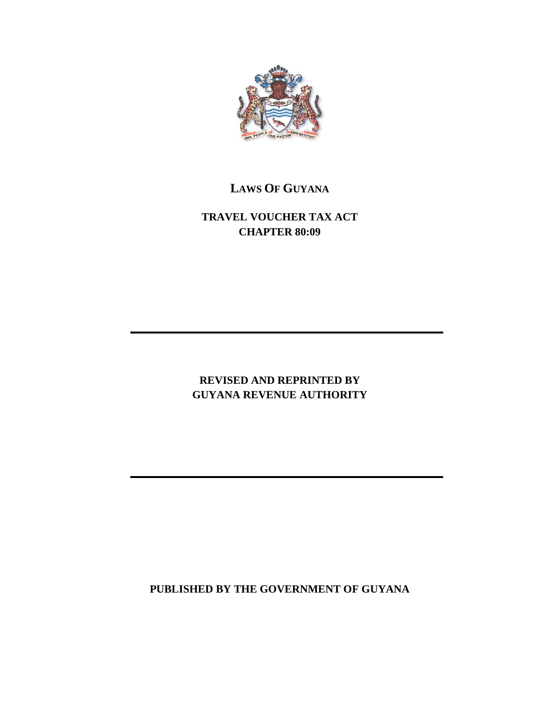

# **LAWS OF GUYANA**

**TRAVEL VOUCHER TAX ACT CHAPTER 80:09**

# **REVISED AND REPRINTED BY GUYANA REVENUE AUTHORITY**

**PUBLISHED BY THE GOVERNMENT OF GUYANA**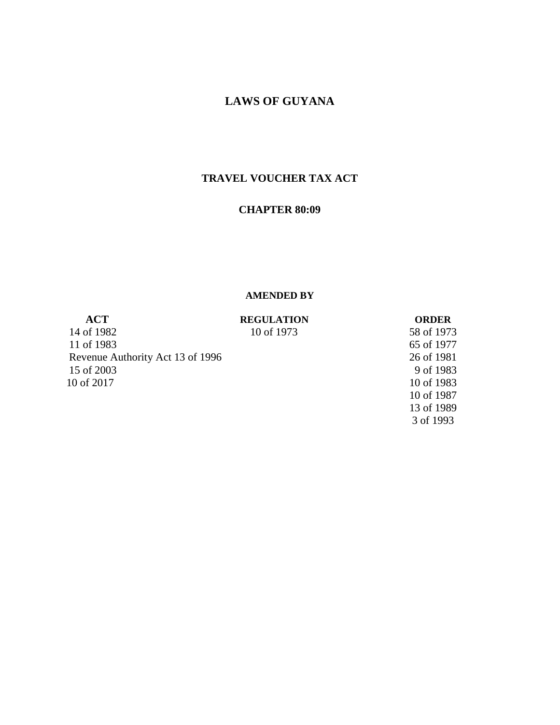## **LAWS OF GUYANA**

## **TRAVEL VOUCHER TAX ACT**

### **CHAPTER 80:09**

#### **AMENDED BY**

**ACT REGULATION ORDER** 14 of 1982 10 of 1973 58 of 1973 11 of 1983 65 of 1977 Revenue Authority Act 13 of 1996 26 of 1981 15 of 2003 9 of 1983 10 of 2017 10 of 1983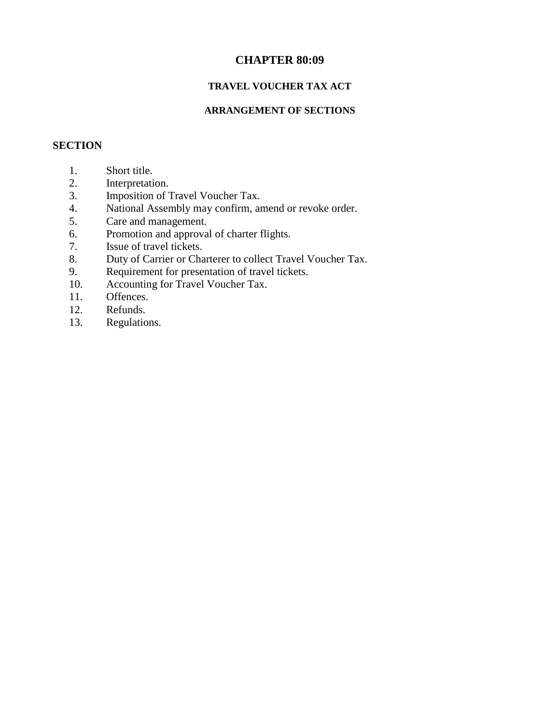## **CHAPTER 80:09**

## **TRAVEL VOUCHER TAX ACT**

## **ARRANGEMENT OF SECTIONS**

### **SECTION**

- 1. Short title.
- 2. Interpretation.
- 3. Imposition of Travel Voucher Tax.
- 4. National Assembly may confirm, amend or revoke order.
- 5. Care and management.
- 6. Promotion and approval of charter flights.
- 7. Issue of travel tickets.
- 8. Duty of Carrier or Charterer to collect Travel Voucher Tax.
- 9. Requirement for presentation of travel tickets.
- 10. Accounting for Travel Voucher Tax.
- 11. Offences.
- 12. Refunds.
- 13. Regulations.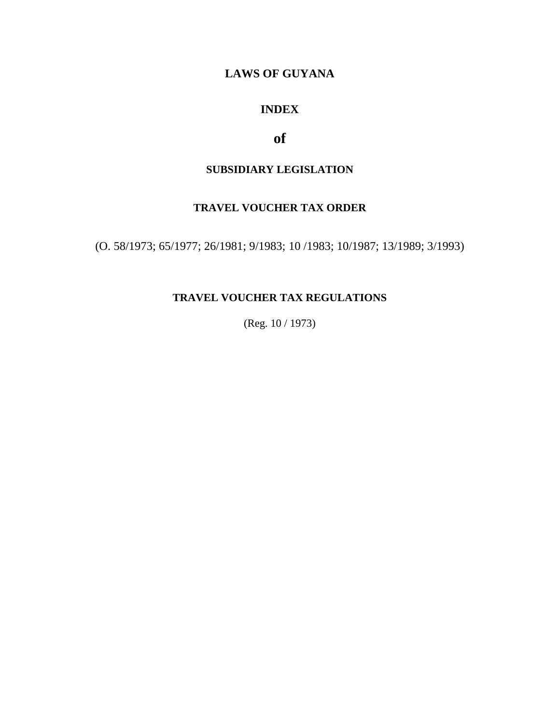# **LAWS OF GUYANA**

# **INDEX**

# **of**

# **SUBSIDIARY LEGISLATION**

# **TRAVEL VOUCHER TAX ORDER**

(O. 58/1973; 65/1977; 26/1981; 9/1983; 10 /1983; 10/1987; 13/1989; 3/1993)

# **TRAVEL VOUCHER TAX REGULATIONS**

(Reg. 10 / 1973)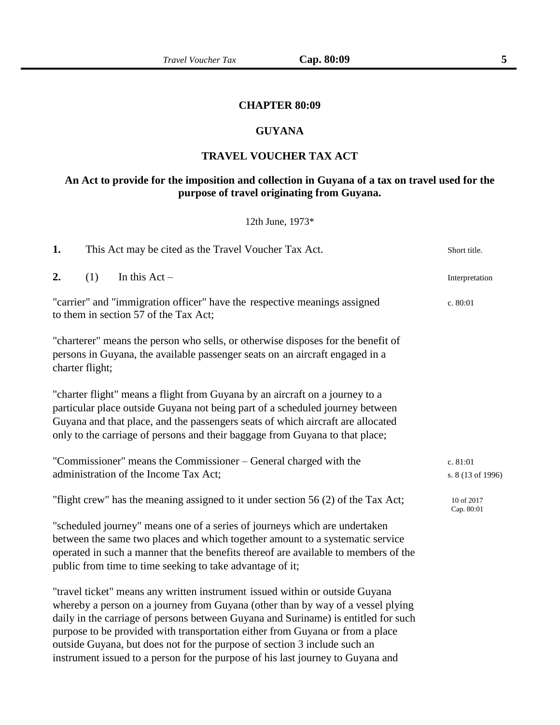### **CHAPTER 80:09**

### **GUYANA**

#### **TRAVEL VOUCHER TAX ACT**

## **An Act to provide for the imposition and collection in Guyana of a tax on travel used for the purpose of travel originating from Guyana.**

#### 12th June, 1973\*

| 1. |                 | This Act may be cited as the Travel Voucher Tax Act.                                                                                                                                                                                                                                                                                                                                                                                                                                                   | Short title.                  |
|----|-----------------|--------------------------------------------------------------------------------------------------------------------------------------------------------------------------------------------------------------------------------------------------------------------------------------------------------------------------------------------------------------------------------------------------------------------------------------------------------------------------------------------------------|-------------------------------|
| 2. | (1)             | In this $Act -$                                                                                                                                                                                                                                                                                                                                                                                                                                                                                        | Interpretation                |
|    |                 | "carrier" and "immigration officer" have the respective meanings assigned<br>to them in section 57 of the Tax Act;                                                                                                                                                                                                                                                                                                                                                                                     | c. 80:01                      |
|    | charter flight; | "charterer" means the person who sells, or otherwise disposes for the benefit of<br>persons in Guyana, the available passenger seats on an aircraft engaged in a                                                                                                                                                                                                                                                                                                                                       |                               |
|    |                 | "charter flight" means a flight from Guyana by an aircraft on a journey to a<br>particular place outside Guyana not being part of a scheduled journey between<br>Guyana and that place, and the passengers seats of which aircraft are allocated<br>only to the carriage of persons and their baggage from Guyana to that place;                                                                                                                                                                       |                               |
|    |                 | "Commissioner" means the Commissioner – General charged with the<br>administration of the Income Tax Act;                                                                                                                                                                                                                                                                                                                                                                                              | c. 81:01<br>s. 8 (13 of 1996) |
|    |                 | "flight crew" has the meaning assigned to it under section 56 (2) of the Tax Act;                                                                                                                                                                                                                                                                                                                                                                                                                      | 10 of 2017<br>Cap. 80:01      |
|    |                 | "scheduled journey" means one of a series of journeys which are undertaken<br>between the same two places and which together amount to a systematic service<br>operated in such a manner that the benefits thereof are available to members of the<br>public from time to time seeking to take advantage of it;                                                                                                                                                                                        |                               |
|    |                 | "travel ticket" means any written instrument issued within or outside Guyana<br>whereby a person on a journey from Guyana (other than by way of a vessel plying<br>daily in the carriage of persons between Guyana and Suriname) is entitled for such<br>purpose to be provided with transportation either from Guyana or from a place<br>outside Guyana, but does not for the purpose of section 3 include such an<br>instrument issued to a person for the purpose of his last journey to Guyana and |                               |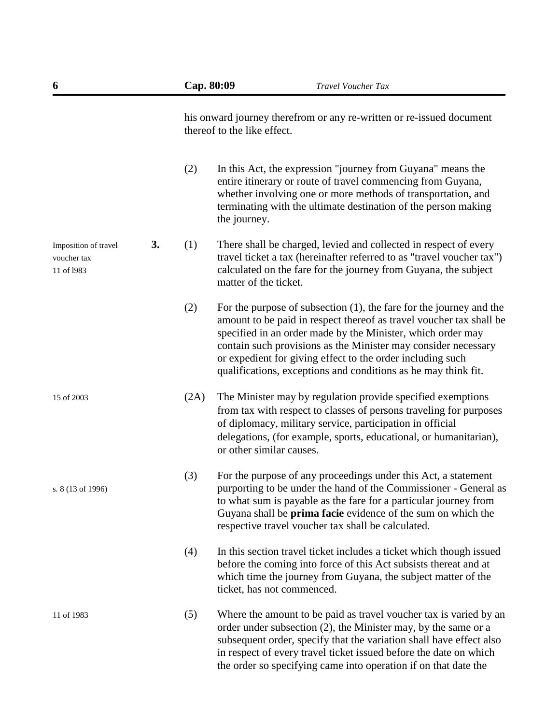| 6                                                 |    | Cap. 80:09 | Travel Voucher Tax                                                                                                                                                                                                                                                                                                                                                                                             |
|---------------------------------------------------|----|------------|----------------------------------------------------------------------------------------------------------------------------------------------------------------------------------------------------------------------------------------------------------------------------------------------------------------------------------------------------------------------------------------------------------------|
|                                                   |    |            | his onward journey therefrom or any re-written or re-issued document<br>thereof to the like effect.                                                                                                                                                                                                                                                                                                            |
|                                                   |    | (2)        | In this Act, the expression "journey from Guyana" means the<br>entire itinerary or route of travel commencing from Guyana,<br>whether involving one or more methods of transportation, and<br>terminating with the ultimate destination of the person making<br>the journey.                                                                                                                                   |
| Imposition of travel<br>voucher tax<br>11 of 1983 | 3. | (1)        | There shall be charged, levied and collected in respect of every<br>travel ticket a tax (hereinafter referred to as "travel voucher tax")<br>calculated on the fare for the journey from Guyana, the subject<br>matter of the ticket.                                                                                                                                                                          |
|                                                   |    | (2)        | For the purpose of subsection $(1)$ , the fare for the journey and the<br>amount to be paid in respect thereof as travel voucher tax shall be<br>specified in an order made by the Minister, which order may<br>contain such provisions as the Minister may consider necessary<br>or expedient for giving effect to the order including such<br>qualifications, exceptions and conditions as he may think fit. |
| 15 of 2003                                        |    | (2A)       | The Minister may by regulation provide specified exemptions<br>from tax with respect to classes of persons traveling for purposes<br>of diplomacy, military service, participation in official<br>delegations, (for example, sports, educational, or humanitarian),<br>or other similar causes.                                                                                                                |
| s. 8 (13 of 1996)                                 |    | (3)        | For the purpose of any proceedings under this Act, a statement<br>purporting to be under the hand of the Commissioner - General as<br>to what sum is payable as the fare for a particular journey from<br>Guyana shall be <b>prima facie</b> evidence of the sum on which the<br>respective travel voucher tax shall be calculated.                                                                            |
|                                                   |    | (4)        | In this section travel ticket includes a ticket which though issued<br>before the coming into force of this Act subsists thereat and at<br>which time the journey from Guyana, the subject matter of the<br>ticket, has not commenced.                                                                                                                                                                         |
| 11 of 1983                                        |    | (5)        | Where the amount to be paid as travel voucher tax is varied by an<br>order under subsection (2), the Minister may, by the same or a<br>subsequent order, specify that the variation shall have effect also<br>in respect of every travel ticket issued before the date on which<br>the order so specifying came into operation if on that date the                                                             |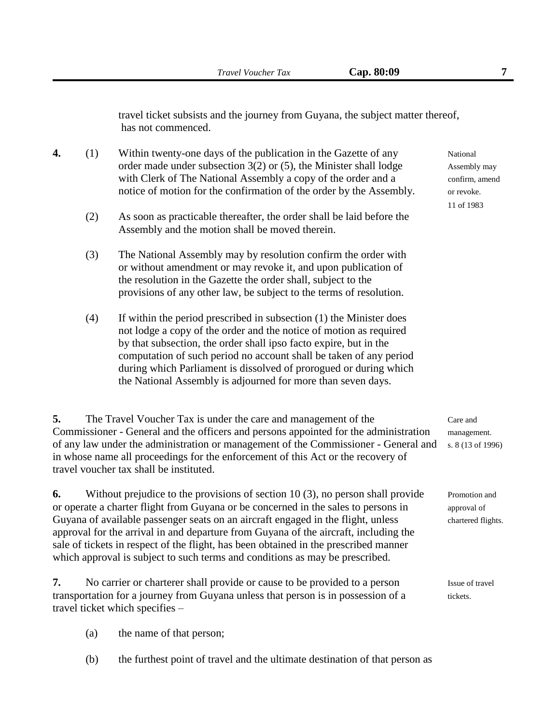travel ticket subsists and the journey from Guyana, the subject matter thereof, has not commenced.

- **4.** (1) Within twenty-one days of the publication in the Gazette of any National order made under subsection  $3(2)$  or  $(5)$ , the Minister shall lodge Assembly may with Clerk of The National Assembly a copy of the order and a confirm, amend notice of motion for the confirmation of the order by the Assembly. or revoke.
	- (2) As soon as practicable thereafter, the order shall be laid before the Assembly and the motion shall be moved therein.
	- (3) The National Assembly may by resolution confirm the order with or without amendment or may revoke it, and upon publication of the resolution in the Gazette the order shall, subject to the provisions of any other law, be subject to the terms of resolution.
	- (4) If within the period prescribed in subsection (1) the Minister does not lodge a copy of the order and the notice of motion as required by that subsection, the order shall ipso facto expire, but in the computation of such period no account shall be taken of any period during which Parliament is dissolved of prorogued or during which the National Assembly is adjourned for more than seven days.

**5.** The Travel Voucher Tax is under the care and management of the Care and Commissioner - General and the officers and persons appointed for the administration management. of any law under the administration or management of the Commissioner - General and s. 8 (13 of 1996) in whose name all proceedings for the enforcement of this Act or the recovery of travel voucher tax shall be instituted.

**6.** Without prejudice to the provisions of section 10 (3), no person shall provide Promotion and or operate a charter flight from Guyana or be concerned in the sales to persons in approval of Guyana of available passenger seats on an aircraft engaged in the flight, unless chartered flights. approval for the arrival in and departure from Guyana of the aircraft, including the sale of tickets in respect of the flight, has been obtained in the prescribed manner which approval is subject to such terms and conditions as may be prescribed.

**7.** No carrier or charterer shall provide or cause to be provided to a person Issue of travel transportation for a journey from Guyana unless that person is in possession of a tickets. travel ticket which specifies –

- (a) the name of that person;
- (b) the furthest point of travel and the ultimate destination of that person as

11 of 1983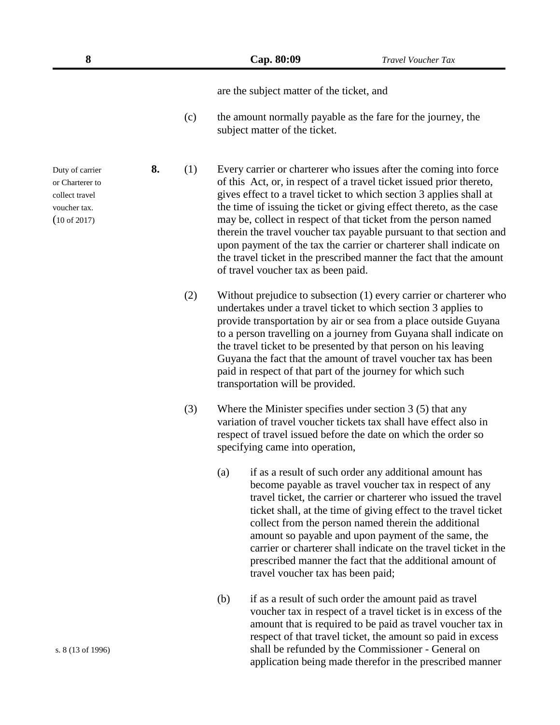are the subject matter of the ticket, and

(c) the amount normally payable as the fare for the journey, the subject matter of the ticket.

Duty of carrier **8.** (1) Every carrier or charterer who issues after the coming into force or Charterer to of this Act, or, in respect of a travel ticket issued prior thereto, collect travel gives effect to a travel ticket to which section 3 applies shall at voucher tax. the time of issuing the ticket or giving effect thereto, as the case (10 of 2017) may be, collect in respect of that ticket from the person named therein the travel voucher tax payable pursuant to that section and upon payment of the tax the carrier or charterer shall indicate on the travel ticket in the prescribed manner the fact that the amount of travel voucher tax as been paid.

- (2) Without prejudice to subsection (1) every carrier or charterer who undertakes under a travel ticket to which section 3 applies to provide transportation by air or sea from a place outside Guyana to a person travelling on a journey from Guyana shall indicate on the travel ticket to be presented by that person on his leaving Guyana the fact that the amount of travel voucher tax has been paid in respect of that part of the journey for which such transportation will be provided.
- (3) Where the Minister specifies under section 3 (5) that any variation of travel voucher tickets tax shall have effect also in respect of travel issued before the date on which the order so specifying came into operation,
	- (a) if as a result of such order any additional amount has become payable as travel voucher tax in respect of any travel ticket, the carrier or charterer who issued the travel ticket shall, at the time of giving effect to the travel ticket collect from the person named therein the additional amount so payable and upon payment of the same, the carrier or charterer shall indicate on the travel ticket in the prescribed manner the fact that the additional amount of travel voucher tax has been paid;
- (b) if as a result of such order the amount paid as travel voucher tax in respect of a travel ticket is in excess of the amount that is required to be paid as travel voucher tax in respect of that travel ticket, the amount so paid in excess s. 8 (13 of 1996) shall be refunded by the Commissioner - General on application being made therefor in the prescribed manner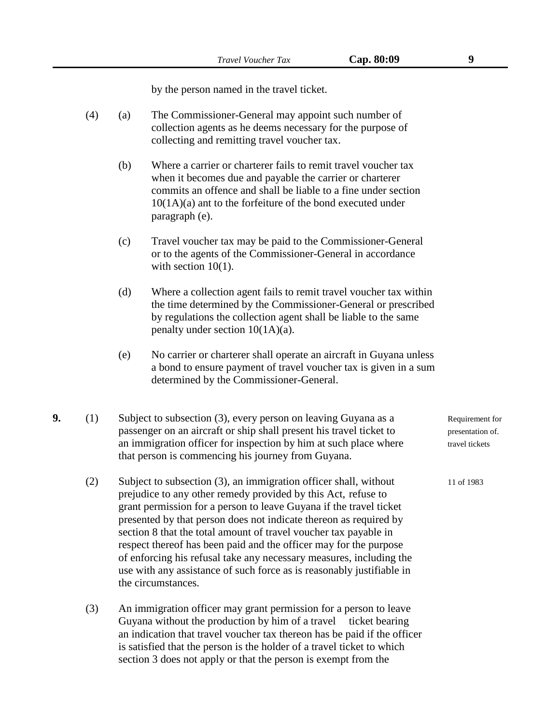by the person named in the travel ticket.

- (4) (a) The Commissioner-General may appoint such number of collection agents as he deems necessary for the purpose of collecting and remitting travel voucher tax.
	- (b) Where a carrier or charterer fails to remit travel voucher tax when it becomes due and payable the carrier or charterer commits an offence and shall be liable to a fine under section 10(1A)(a) ant to the forfeiture of the bond executed under paragraph (e).
	- (c) Travel voucher tax may be paid to the Commissioner-General or to the agents of the Commissioner-General in accordance with section  $10(1)$ .
	- (d) Where a collection agent fails to remit travel voucher tax within the time determined by the Commissioner-General or prescribed by regulations the collection agent shall be liable to the same penalty under section 10(1A)(a).
	- (e) No carrier or charterer shall operate an aircraft in Guyana unless a bond to ensure payment of travel voucher tax is given in a sum determined by the Commissioner-General.
- **9.** (1) Subject to subsection (3), every person on leaving Guyana as a Requirement for passenger on an aircraft or ship shall present his travel ticket to presentation of. an immigration officer for inspection by him at such place where travel tickets that person is commencing his journey from Guyana.
	- (2) Subject to subsection (3), an immigration officer shall, without 11 of 1983 prejudice to any other remedy provided by this Act, refuse to grant permission for a person to leave Guyana if the travel ticket presented by that person does not indicate thereon as required by section 8 that the total amount of travel voucher tax payable in respect thereof has been paid and the officer may for the purpose of enforcing his refusal take any necessary measures, including the use with any assistance of such force as is reasonably justifiable in the circumstances.
	- (3) An immigration officer may grant permission for a person to leave Guyana without the production by him of a travel ticket bearing an indication that travel voucher tax thereon has be paid if the officer is satisfied that the person is the holder of a travel ticket to which section 3 does not apply or that the person is exempt from the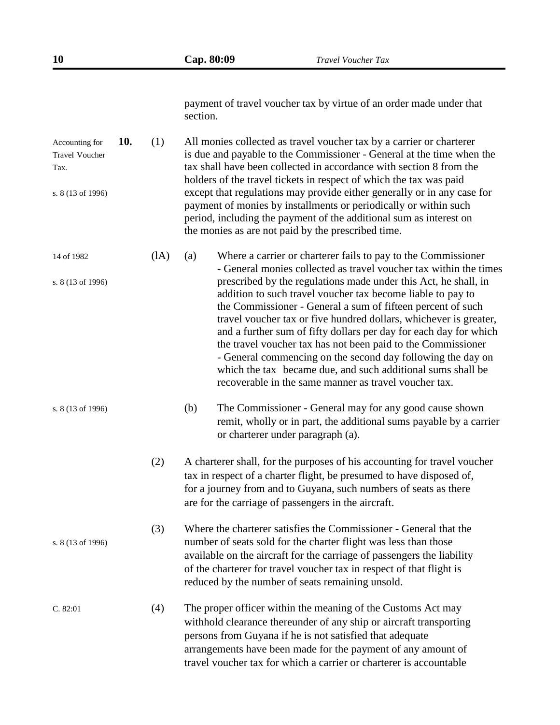| 10                                                                   |     |      | Cap. 80:09 | <b>Travel Voucher Tax</b>                                                                                                                                                                                                                                                                                                                                                                                                                                                                                                                                                                                                                                                                                                            |
|----------------------------------------------------------------------|-----|------|------------|--------------------------------------------------------------------------------------------------------------------------------------------------------------------------------------------------------------------------------------------------------------------------------------------------------------------------------------------------------------------------------------------------------------------------------------------------------------------------------------------------------------------------------------------------------------------------------------------------------------------------------------------------------------------------------------------------------------------------------------|
|                                                                      |     |      | section.   | payment of travel voucher tax by virtue of an order made under that                                                                                                                                                                                                                                                                                                                                                                                                                                                                                                                                                                                                                                                                  |
| Accounting for<br><b>Travel Voucher</b><br>Tax.<br>s. 8 (13 of 1996) | 10. | (1)  |            | All monies collected as travel voucher tax by a carrier or charterer<br>is due and payable to the Commissioner - General at the time when the<br>tax shall have been collected in accordance with section 8 from the<br>holders of the travel tickets in respect of which the tax was paid<br>except that regulations may provide either generally or in any case for<br>payment of monies by installments or periodically or within such<br>period, including the payment of the additional sum as interest on<br>the monies as are not paid by the prescribed time.                                                                                                                                                                |
| 14 of 1982<br>s. 8 (13 of 1996)                                      |     | (IA) | (a)        | Where a carrier or charterer fails to pay to the Commissioner<br>- General monies collected as travel voucher tax within the times<br>prescribed by the regulations made under this Act, he shall, in<br>addition to such travel voucher tax become liable to pay to<br>the Commissioner - General a sum of fifteen percent of such<br>travel voucher tax or five hundred dollars, whichever is greater,<br>and a further sum of fifty dollars per day for each day for which<br>the travel voucher tax has not been paid to the Commissioner<br>- General commencing on the second day following the day on<br>which the tax became due, and such additional sums shall be<br>recoverable in the same manner as travel voucher tax. |
| s. 8 (13 of 1996)                                                    |     |      | (b)        | The Commissioner - General may for any good cause shown<br>remit, wholly or in part, the additional sums payable by a carrier<br>or charterer under paragraph (a).                                                                                                                                                                                                                                                                                                                                                                                                                                                                                                                                                                   |
|                                                                      |     | (2)  |            | A charterer shall, for the purposes of his accounting for travel voucher<br>tax in respect of a charter flight, be presumed to have disposed of,<br>for a journey from and to Guyana, such numbers of seats as there<br>are for the carriage of passengers in the aircraft.                                                                                                                                                                                                                                                                                                                                                                                                                                                          |
| s. 8 (13 of 1996)                                                    |     | (3)  |            | Where the charterer satisfies the Commissioner - General that the<br>number of seats sold for the charter flight was less than those<br>available on the aircraft for the carriage of passengers the liability<br>of the charterer for travel voucher tax in respect of that flight is<br>reduced by the number of seats remaining unsold.                                                                                                                                                                                                                                                                                                                                                                                           |
| C. 82:01                                                             |     | (4)  |            | The proper officer within the meaning of the Customs Act may<br>withhold clearance thereunder of any ship or aircraft transporting<br>persons from Guyana if he is not satisfied that adequate<br>arrangements have been made for the payment of any amount of<br>travel voucher tax for which a carrier or charterer is accountable                                                                                                                                                                                                                                                                                                                                                                                                 |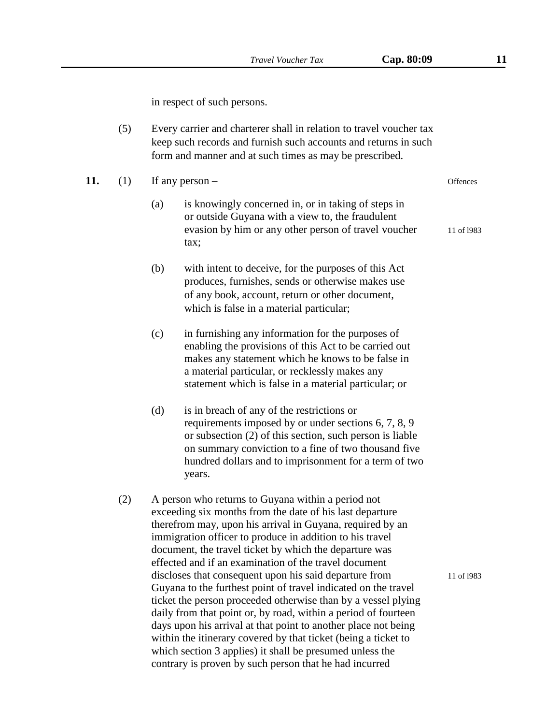in respect of such persons.

| (5) | Every carrier and charterer shall in relation to travel voucher tax |
|-----|---------------------------------------------------------------------|
|     | keep such records and furnish such accounts and returns in such     |
|     | form and manner and at such times as may be prescribed.             |

| 11. | $(1)$ If any person – | Offences |
|-----|-----------------------|----------|
|     |                       |          |

- (a) is knowingly concerned in, or in taking of steps in or outside Guyana with a view to, the fraudulent evasion by him or any other person of travel voucher 11 of 1983 tax;
- (b) with intent to deceive, for the purposes of this Act produces, furnishes, sends or otherwise makes use of any book, account, return or other document, which is false in a material particular;
- (c) in furnishing any information for the purposes of enabling the provisions of this Act to be carried out makes any statement which he knows to be false in a material particular, or recklessly makes any statement which is false in a material particular; or
- (d) is in breach of any of the restrictions or requirements imposed by or under sections 6, 7, 8, 9 or subsection (2) of this section, such person is liable on summary conviction to a fine of two thousand five hundred dollars and to imprisonment for a term of two years.
- (2) A person who returns to Guyana within a period not exceeding six months from the date of his last departure therefrom may, upon his arrival in Guyana, required by an immigration officer to produce in addition to his travel document, the travel ticket by which the departure was effected and if an examination of the travel document discloses that consequent upon his said departure from 11 of 1983 Guyana to the furthest point of travel indicated on the travel ticket the person proceeded otherwise than by a vessel plying daily from that point or, by road, within a period of fourteen days upon his arrival at that point to another place not being within the itinerary covered by that ticket (being a ticket to which section 3 applies) it shall be presumed unless the contrary is proven by such person that he had incurred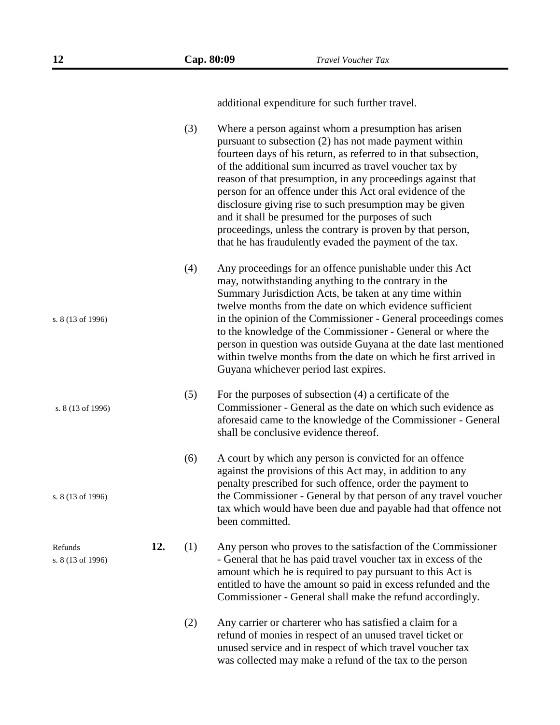|                              |     | (3) | Where a person against whom a presumption has arisen<br>pursuant to subsection (2) has not made payment within<br>fourteen days of his return, as referred to in that subsection,<br>of the additional sum incurred as travel voucher tax by<br>reason of that presumption, in any proceedings against that<br>person for an offence under this Act oral evidence of the<br>disclosure giving rise to such presumption may be given<br>and it shall be presumed for the purposes of such<br>proceedings, unless the contrary is proven by that person,<br>that he has fraudulently evaded the payment of the tax. |
|------------------------------|-----|-----|-------------------------------------------------------------------------------------------------------------------------------------------------------------------------------------------------------------------------------------------------------------------------------------------------------------------------------------------------------------------------------------------------------------------------------------------------------------------------------------------------------------------------------------------------------------------------------------------------------------------|
| s. 8 (13 of 1996)            |     | (4) | Any proceedings for an offence punishable under this Act<br>may, notwithstanding anything to the contrary in the<br>Summary Jurisdiction Acts, be taken at any time within<br>twelve months from the date on which evidence sufficient<br>in the opinion of the Commissioner - General proceedings comes<br>to the knowledge of the Commissioner - General or where the<br>person in question was outside Guyana at the date last mentioned<br>within twelve months from the date on which he first arrived in<br>Guyana whichever period last expires.                                                           |
| s. 8 (13 of 1996)            |     | (5) | For the purposes of subsection (4) a certificate of the<br>Commissioner - General as the date on which such evidence as<br>aforesaid came to the knowledge of the Commissioner - General<br>shall be conclusive evidence thereof.                                                                                                                                                                                                                                                                                                                                                                                 |
| s. 8 (13 of 1996)            |     | (6) | A court by which any person is convicted for an offence<br>against the provisions of this Act may, in addition to any<br>penalty prescribed for such offence, order the payment to<br>the Commissioner - General by that person of any travel voucher<br>tax which would have been due and payable had that offence not<br>been committed.                                                                                                                                                                                                                                                                        |
| Refunds<br>s. 8 (13 of 1996) | 12. | (1) | Any person who proves to the satisfaction of the Commissioner<br>- General that he has paid travel voucher tax in excess of the<br>amount which he is required to pay pursuant to this Act is<br>entitled to have the amount so paid in excess refunded and the<br>Commissioner - General shall make the refund accordingly.                                                                                                                                                                                                                                                                                      |
|                              |     | (2) | Any carrier or charterer who has satisfied a claim for a                                                                                                                                                                                                                                                                                                                                                                                                                                                                                                                                                          |

(2) Any carrier or charterer who has satisfied a claim for a refund of monies in respect of an unused travel ticket or unused service and in respect of which travel voucher tax was collected may make a refund of the tax to the person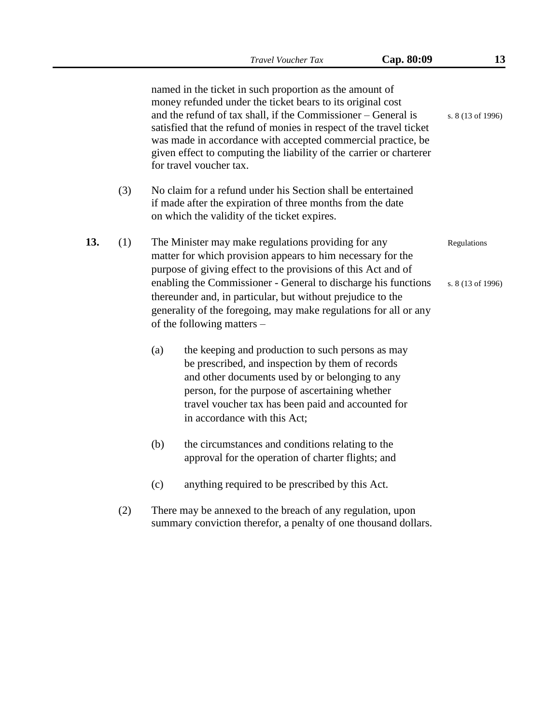|     |     |     |                            | <b>Travel Voucher Tax</b>                                                                                                                                                                                                                                                                                                                                                                            | Cap. 80:09 | 13                               |
|-----|-----|-----|----------------------------|------------------------------------------------------------------------------------------------------------------------------------------------------------------------------------------------------------------------------------------------------------------------------------------------------------------------------------------------------------------------------------------------------|------------|----------------------------------|
|     |     |     | for travel voucher tax.    | named in the ticket in such proportion as the amount of<br>money refunded under the ticket bears to its original cost<br>and the refund of tax shall, if the Commissioner – General is<br>satisfied that the refund of monies in respect of the travel ticket<br>was made in accordance with accepted commercial practice, be<br>given effect to computing the liability of the carrier or charterer |            | s. 8 (13 of 1996)                |
|     | (3) |     |                            | No claim for a refund under his Section shall be entertained<br>if made after the expiration of three months from the date<br>on which the validity of the ticket expires.                                                                                                                                                                                                                           |            |                                  |
| 13. | (1) |     | of the following matters – | The Minister may make regulations providing for any<br>matter for which provision appears to him necessary for the<br>purpose of giving effect to the provisions of this Act and of<br>enabling the Commissioner - General to discharge his functions<br>thereunder and, in particular, but without prejudice to the<br>generality of the foregoing, may make regulations for all or any             |            | Regulations<br>s. 8 (13 of 1996) |
|     |     | (a) |                            | the keeping and production to such persons as may<br>be prescribed, and inspection by them of records<br>and other documents used by or belonging to any<br>person, for the purpose of ascertaining whether<br>travel voucher tax has been paid and accounted for<br>in accordance with this Act;                                                                                                    |            |                                  |
|     |     | (b) |                            | the circumstances and conditions relating to the<br>approval for the operation of charter flights; and                                                                                                                                                                                                                                                                                               |            |                                  |
|     |     | (c) |                            | anything required to be prescribed by this Act.                                                                                                                                                                                                                                                                                                                                                      |            |                                  |
|     | (2) |     |                            | There may be annexed to the breach of any regulation, upon<br>summary conviction therefor, a penalty of one thousand dollars.                                                                                                                                                                                                                                                                        |            |                                  |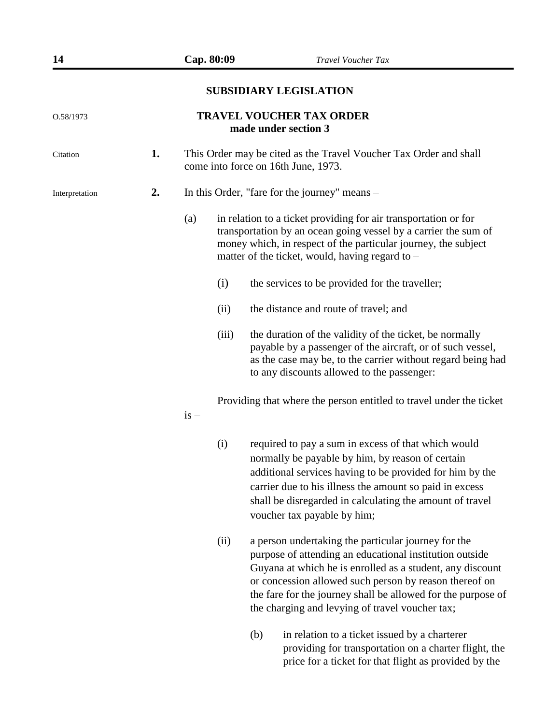price for a ticket for that flight as provided by the

## **SUBSIDIARY LEGISLATION**

| O.58/1973      | <b>TRAVEL VOUCHER TAX ORDER</b><br>made under section 3 |        |       |                                                                                                                                                                                                                                                                                                                                                          |  |  |
|----------------|---------------------------------------------------------|--------|-------|----------------------------------------------------------------------------------------------------------------------------------------------------------------------------------------------------------------------------------------------------------------------------------------------------------------------------------------------------------|--|--|
| Citation       | 1.                                                      |        |       | This Order may be cited as the Travel Voucher Tax Order and shall<br>come into force on 16th June, 1973.                                                                                                                                                                                                                                                 |  |  |
| Interpretation | 2.                                                      |        |       | In this Order, "fare for the journey" means -                                                                                                                                                                                                                                                                                                            |  |  |
|                |                                                         | (a)    |       | in relation to a ticket providing for air transportation or for<br>transportation by an ocean going vessel by a carrier the sum of<br>money which, in respect of the particular journey, the subject<br>matter of the ticket, would, having regard to –                                                                                                  |  |  |
|                |                                                         | (i)    |       | the services to be provided for the traveller;                                                                                                                                                                                                                                                                                                           |  |  |
|                |                                                         | (ii)   |       | the distance and route of travel; and                                                                                                                                                                                                                                                                                                                    |  |  |
|                |                                                         |        | (iii) | the duration of the validity of the ticket, be normally<br>payable by a passenger of the aircraft, or of such vessel,<br>as the case may be, to the carrier without regard being had<br>to any discounts allowed to the passenger:                                                                                                                       |  |  |
|                |                                                         | $is -$ |       | Providing that where the person entitled to travel under the ticket                                                                                                                                                                                                                                                                                      |  |  |
|                |                                                         | (i)    |       | required to pay a sum in excess of that which would<br>normally be payable by him, by reason of certain<br>additional services having to be provided for him by the<br>carrier due to his illness the amount so paid in excess<br>shall be disregarded in calculating the amount of travel<br>voucher tax payable by him;                                |  |  |
|                |                                                         | (ii)   |       | a person undertaking the particular journey for the<br>purpose of attending an educational institution outside<br>Guyana at which he is enrolled as a student, any discount<br>or concession allowed such person by reason thereof on<br>the fare for the journey shall be allowed for the purpose of<br>the charging and levying of travel voucher tax; |  |  |
|                |                                                         |        | (b)   | in relation to a ticket issued by a charterer<br>providing for transportation on a charter flight, the                                                                                                                                                                                                                                                   |  |  |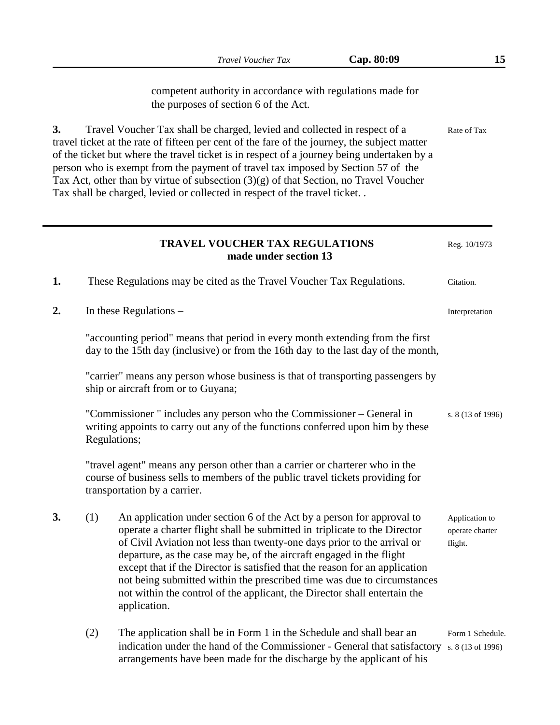|    |     | Cap. 80:09<br>Travel Voucher Tax                                                                                                                                                                                                                                                                                                                                                                                                                                                                                                                             | 15                                           |
|----|-----|--------------------------------------------------------------------------------------------------------------------------------------------------------------------------------------------------------------------------------------------------------------------------------------------------------------------------------------------------------------------------------------------------------------------------------------------------------------------------------------------------------------------------------------------------------------|----------------------------------------------|
|    |     | competent authority in accordance with regulations made for<br>the purposes of section 6 of the Act.                                                                                                                                                                                                                                                                                                                                                                                                                                                         |                                              |
| 3. |     | Travel Voucher Tax shall be charged, levied and collected in respect of a<br>travel ticket at the rate of fifteen per cent of the fare of the journey, the subject matter<br>of the ticket but where the travel ticket is in respect of a journey being undertaken by a<br>person who is exempt from the payment of travel tax imposed by Section 57 of the<br>Tax Act, other than by virtue of subsection $(3)(g)$ of that Section, no Travel Voucher<br>Tax shall be charged, levied or collected in respect of the travel ticket. .                       | Rate of Tax                                  |
|    |     | <b>TRAVEL VOUCHER TAX REGULATIONS</b><br>made under section 13                                                                                                                                                                                                                                                                                                                                                                                                                                                                                               | Reg. 10/1973                                 |
| 1. |     | These Regulations may be cited as the Travel Voucher Tax Regulations.                                                                                                                                                                                                                                                                                                                                                                                                                                                                                        | Citation.                                    |
| 2. |     | In these Regulations $-$                                                                                                                                                                                                                                                                                                                                                                                                                                                                                                                                     | Interpretation                               |
|    |     | "accounting period" means that period in every month extending from the first<br>day to the 15th day (inclusive) or from the 16th day to the last day of the month,                                                                                                                                                                                                                                                                                                                                                                                          |                                              |
|    |     | "carrier" means any person whose business is that of transporting passengers by<br>ship or aircraft from or to Guyana;                                                                                                                                                                                                                                                                                                                                                                                                                                       |                                              |
|    |     | "Commissioner" includes any person who the Commissioner – General in<br>writing appoints to carry out any of the functions conferred upon him by these<br>Regulations;                                                                                                                                                                                                                                                                                                                                                                                       | s. 8 (13 of 1996)                            |
|    |     | 'travel agent" means any person other than a carrier or charterer who in the<br>course of business sells to members of the public travel tickets providing for<br>transportation by a carrier.                                                                                                                                                                                                                                                                                                                                                               |                                              |
| 3. | (1) | An application under section 6 of the Act by a person for approval to<br>operate a charter flight shall be submitted in triplicate to the Director<br>of Civil Aviation not less than twenty-one days prior to the arrival or<br>departure, as the case may be, of the aircraft engaged in the flight<br>except that if the Director is satisfied that the reason for an application<br>not being submitted within the prescribed time was due to circumstances<br>not within the control of the applicant, the Director shall entertain the<br>application. | Application to<br>operate charter<br>flight. |
|    | (2) | The application shall be in Form 1 in the Schedule and shall bear an<br>indication under the hand of the Commissioner - General that satisfactory<br>arrangements have been made for the discharge by the applicant of his                                                                                                                                                                                                                                                                                                                                   | Form 1 Schedule.<br>s. 8 (13 of 1996)        |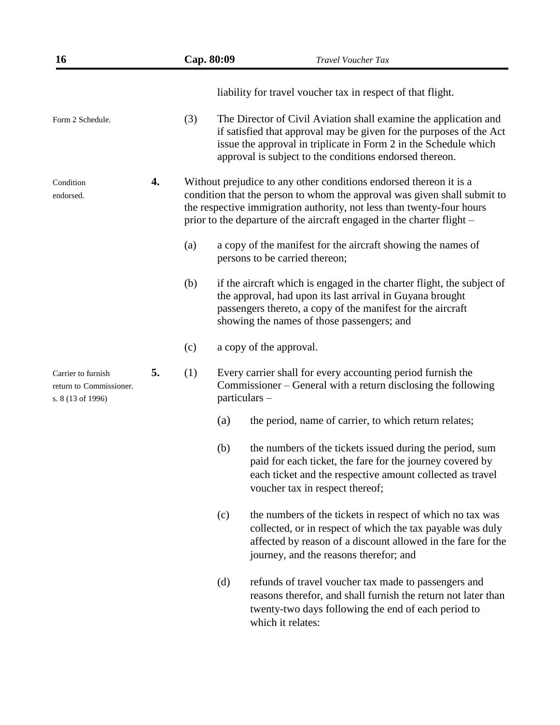| 16                                                                 |    | Cap. 80:09 |     | <b>Travel Voucher Tax</b>                                                                                                                                                                                                                                                                         |
|--------------------------------------------------------------------|----|------------|-----|---------------------------------------------------------------------------------------------------------------------------------------------------------------------------------------------------------------------------------------------------------------------------------------------------|
|                                                                    |    |            |     | liability for travel voucher tax in respect of that flight.                                                                                                                                                                                                                                       |
| Form 2 Schedule.                                                   |    | (3)        |     | The Director of Civil Aviation shall examine the application and<br>if satisfied that approval may be given for the purposes of the Act<br>issue the approval in triplicate in Form 2 in the Schedule which<br>approval is subject to the conditions endorsed thereon.                            |
| Condition<br>endorsed.                                             | 4. |            |     | Without prejudice to any other conditions endorsed thereon it is a<br>condition that the person to whom the approval was given shall submit to<br>the respective immigration authority, not less than twenty-four hours<br>prior to the departure of the aircraft engaged in the charter flight – |
|                                                                    |    | (a)        |     | a copy of the manifest for the aircraft showing the names of<br>persons to be carried thereon;                                                                                                                                                                                                    |
|                                                                    |    | (b)        |     | if the aircraft which is engaged in the charter flight, the subject of<br>the approval, had upon its last arrival in Guyana brought<br>passengers thereto, a copy of the manifest for the aircraft<br>showing the names of those passengers; and                                                  |
|                                                                    |    | (c)        |     | a copy of the approval.                                                                                                                                                                                                                                                                           |
| Carrier to furnish<br>return to Commissioner.<br>s. 8 (13 of 1996) | 5. |            |     | Every carrier shall for every accounting period furnish the<br>Commissioner – General with a return disclosing the following<br>particulars -                                                                                                                                                     |
|                                                                    |    |            | (a) | the period, name of carrier, to which return relates;                                                                                                                                                                                                                                             |
|                                                                    |    |            | (b) | the numbers of the tickets issued during the period, sum<br>paid for each ticket, the fare for the journey covered by<br>each ticket and the respective amount collected as travel<br>voucher tax in respect thereof;                                                                             |
|                                                                    |    |            | (c) | the numbers of the tickets in respect of which no tax was<br>collected, or in respect of which the tax payable was duly<br>affected by reason of a discount allowed in the fare for the<br>journey, and the reasons therefor; and                                                                 |
|                                                                    |    |            | (d) | refunds of travel voucher tax made to passengers and<br>reasons therefor, and shall furnish the return not later than<br>twenty-two days following the end of each period to<br>which it relates:                                                                                                 |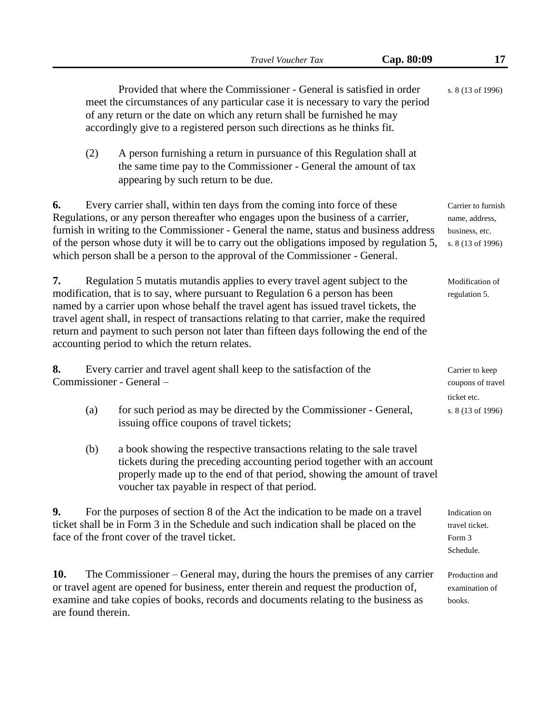|                           |     |                                                                                                                                                                                                                                                                                                                                                                                                                                                                                                | Travel Voucher Tax | Cap. 80:09 | 17                                                                          |
|---------------------------|-----|------------------------------------------------------------------------------------------------------------------------------------------------------------------------------------------------------------------------------------------------------------------------------------------------------------------------------------------------------------------------------------------------------------------------------------------------------------------------------------------------|--------------------|------------|-----------------------------------------------------------------------------|
|                           |     | Provided that where the Commissioner - General is satisfied in order<br>meet the circumstances of any particular case it is necessary to vary the period<br>of any return or the date on which any return shall be furnished he may<br>accordingly give to a registered person such directions as he thinks fit.                                                                                                                                                                               |                    |            | s. 8 (13 of 1996)                                                           |
|                           | (2) | A person furnishing a return in pursuance of this Regulation shall at<br>the same time pay to the Commissioner - General the amount of tax<br>appearing by such return to be due.                                                                                                                                                                                                                                                                                                              |                    |            |                                                                             |
| 6.                        |     | Every carrier shall, within ten days from the coming into force of these<br>Regulations, or any person thereafter who engages upon the business of a carrier,<br>furnish in writing to the Commissioner - General the name, status and business address<br>of the person whose duty it will be to carry out the obligations imposed by regulation 5,<br>which person shall be a person to the approval of the Commissioner - General.                                                          |                    |            | Carrier to furnish<br>name, address,<br>business, etc.<br>s. 8 (13 of 1996) |
| 7.                        |     | Regulation 5 mutatis mutandis applies to every travel agent subject to the<br>modification, that is to say, where pursuant to Regulation 6 a person has been<br>named by a carrier upon whose behalf the travel agent has issued travel tickets, the<br>travel agent shall, in respect of transactions relating to that carrier, make the required<br>return and payment to such person not later than fifteen days following the end of the<br>accounting period to which the return relates. |                    |            | Modification of<br>regulation 5.                                            |
| 8.                        |     | Every carrier and travel agent shall keep to the satisfaction of the<br>Commissioner - General -                                                                                                                                                                                                                                                                                                                                                                                               |                    |            | Carrier to keep<br>coupons of travel                                        |
|                           | (a) | for such period as may be directed by the Commissioner - General,<br>issuing office coupons of travel tickets;                                                                                                                                                                                                                                                                                                                                                                                 |                    |            | ticket etc.<br>s. 8 (13 of 1996)                                            |
|                           | (b) | a book showing the respective transactions relating to the sale travel<br>tickets during the preceding accounting period together with an account<br>properly made up to the end of that period, showing the amount of travel<br>voucher tax payable in respect of that period.                                                                                                                                                                                                                |                    |            |                                                                             |
| 9.                        |     | For the purposes of section 8 of the Act the indication to be made on a travel<br>ticket shall be in Form 3 in the Schedule and such indication shall be placed on the<br>face of the front cover of the travel ticket.                                                                                                                                                                                                                                                                        |                    |            | Indication on<br>travel ticket.<br>Form 3<br>Schedule.                      |
| 10.<br>are found therein. |     | The Commissioner – General may, during the hours the premises of any carrier<br>or travel agent are opened for business, enter therein and request the production of,<br>examine and take copies of books, records and documents relating to the business as                                                                                                                                                                                                                                   |                    |            | Production and<br>examination of<br>books.                                  |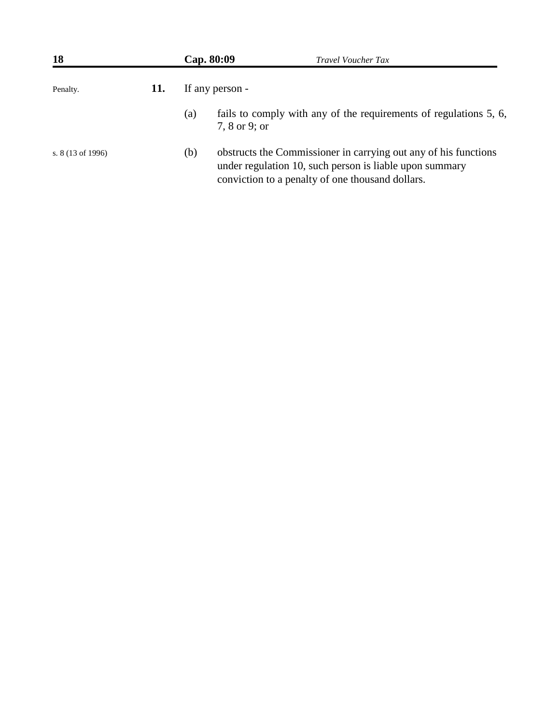| <b>18</b>                   |     |     | Cap. 80:09<br><b>Travel Voucher Tax</b>                                                                                                                                        |
|-----------------------------|-----|-----|--------------------------------------------------------------------------------------------------------------------------------------------------------------------------------|
| Penalty.                    | 11. |     | If any person -                                                                                                                                                                |
|                             |     | (a) | fails to comply with any of the requirements of regulations 5, 6,<br>7, 8 or 9; or                                                                                             |
| s. $8(13 \text{ of } 1996)$ |     | (b) | obstructs the Commissioner in carrying out any of his functions<br>under regulation 10, such person is liable upon summary<br>conviction to a penalty of one thousand dollars. |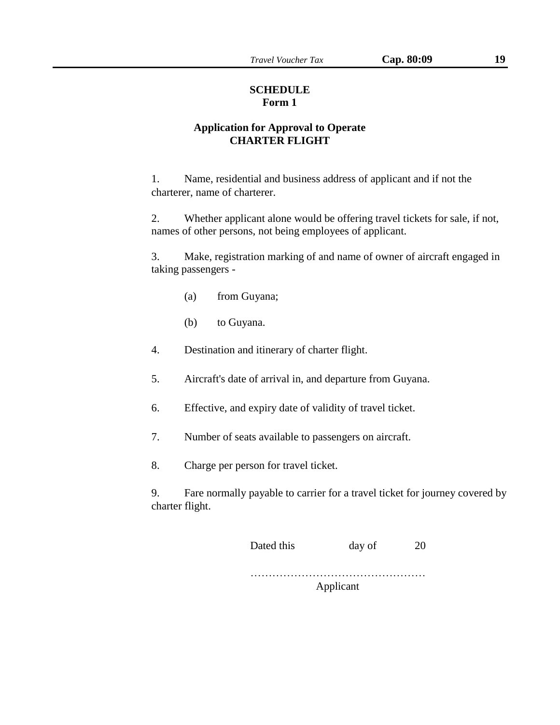### **SCHEDULE Form 1**

# **Application for Approval to Operate CHARTER FLIGHT**

1. Name, residential and business address of applicant and if not the charterer, name of charterer.

2. Whether applicant alone would be offering travel tickets for sale, if not, names of other persons, not being employees of applicant.

3. Make, registration marking of and name of owner of aircraft engaged in taking passengers -

- (a) from Guyana;
- (b) to Guyana.
- 4. Destination and itinerary of charter flight.
- 5. Aircraft's date of arrival in, and departure from Guyana.
- 6. Effective, and expiry date of validity of travel ticket.
- 7. Number of seats available to passengers on aircraft.
- 8. Charge per person for travel ticket.

9. Fare normally payable to carrier for a travel ticket for journey covered by charter flight.

| Dated this | day of | 20 |
|------------|--------|----|
|            |        |    |

………………………………………… Applicant